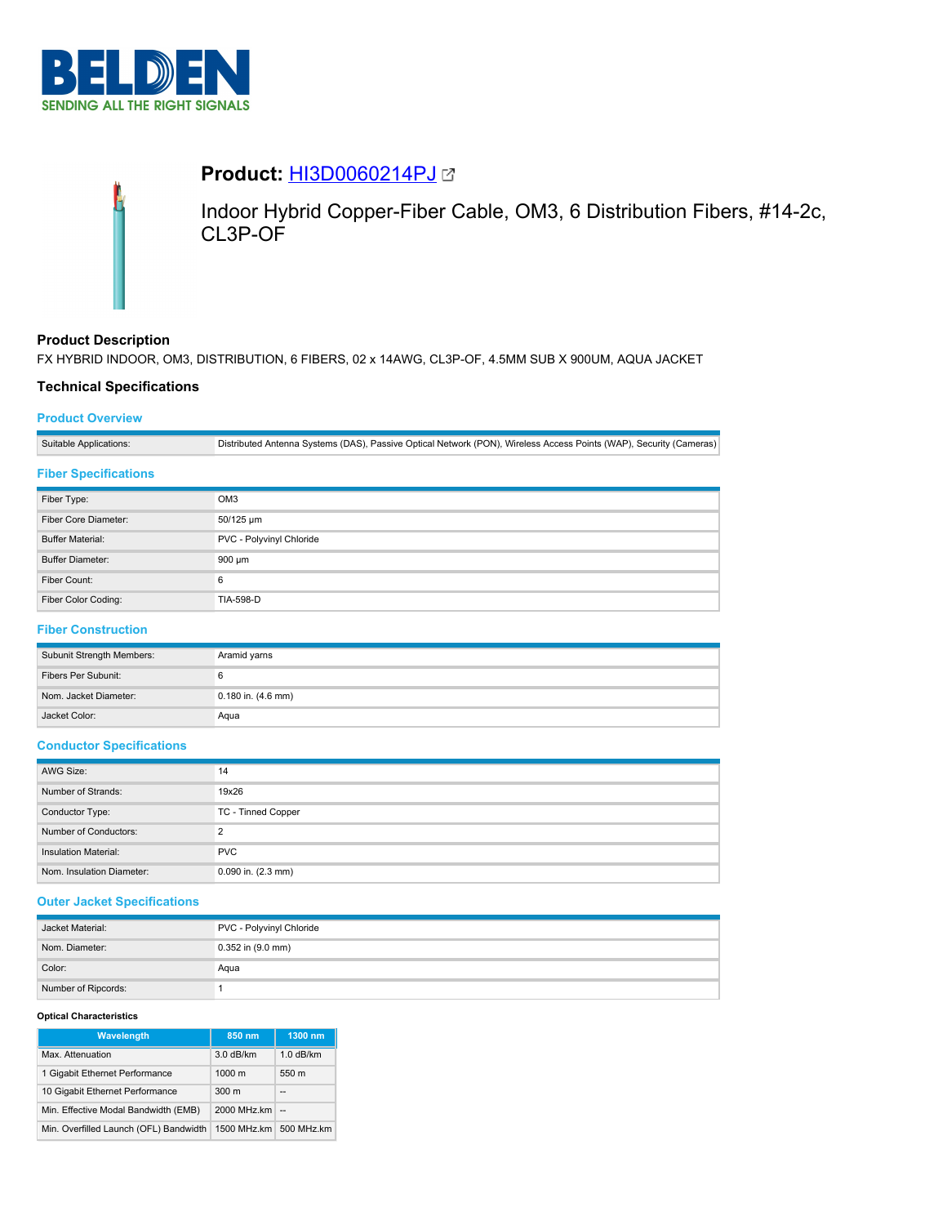

# **Product:** [HI3D0060214PJ](https://catalog.belden.com/index.cfm?event=pd&p=PF_HI3D0060214PJ&tab=downloads)

Indoor Hybrid Copper-Fiber Cable, OM3, 6 Distribution Fibers, #14-2c, CL3P-OF

# **Product Description**

FX HYBRID INDOOR, OM3, DISTRIBUTION, 6 FIBERS, 02 x 14AWG, CL3P-OF, 4.5MM SUB X 900UM, AQUA JACKET

# **Technical Specifications**

## **Product Overview**

Suitable Applications: Distributed Antenna Systems (DAS), Passive Optical Network (PON), Wireless Access Points (WAP), Security (Cameras)

## **Fiber Specifications**

| Fiber Type:             | OM <sub>3</sub>          |
|-------------------------|--------------------------|
| Fiber Core Diameter:    | 50/125 um                |
| <b>Buffer Material:</b> | PVC - Polyvinyl Chloride |
| <b>Buffer Diameter:</b> | $900 \mu m$              |
| Fiber Count:            | 6                        |
| Fiber Color Coding:     | <b>TIA-598-D</b>         |

# **Fiber Construction**

| Subunit Strength Members: | Aramid yarns           |
|---------------------------|------------------------|
| Fibers Per Subunit:       |                        |
| Nom. Jacket Diameter:     | $0.180$ in. $(4.6$ mm) |
| Jacket Color:             | Agua                   |

## **Conductor Specifications**

| AWG Size:                   | 14                     |
|-----------------------------|------------------------|
| Number of Strands:          | 19x26                  |
| Conductor Type:             | TC - Tinned Copper     |
| Number of Conductors:       | っ                      |
| <b>Insulation Material:</b> | <b>PVC</b>             |
| Nom. Insulation Diameter:   | $0.090$ in. $(2.3$ mm) |

## **Outer Jacket Specifications**

| Jacket Material:    | PVC - Polyvinyl Chloride |
|---------------------|--------------------------|
| Nom. Diameter:      | $0.352$ in $(9.0$ mm)    |
| Color:              | Aqua                     |
| Number of Ripcords: |                          |

### **Optical Characteristics**

| <b>Wavelength</b>                      | 850 nm           | 1300 nm     |
|----------------------------------------|------------------|-------------|
| Max. Attenuation                       | 3.0 dB/km        | $1.0$ dB/km |
| 1 Gigabit Ethernet Performance         | $1000 \text{ m}$ | 550 m       |
| 10 Gigabit Ethernet Performance        | 300 <sub>m</sub> | --          |
| Min. Effective Modal Bandwidth (EMB)   | 2000 MHz.km      | $\sim$      |
| Min. Overfilled Launch (OFL) Bandwidth | 1500 MHz.km      | 500 MHz.km  |